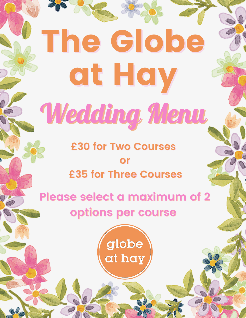# The Globe at Hay Wedding Menu **£30 for Two Courses or**

**£35 for Three Courses**

**Please select a maximum of 2 options per course**

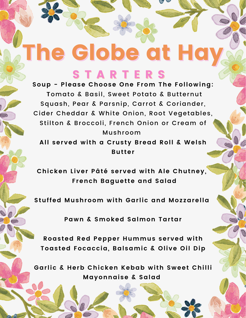## The Globe at Hay S T A R T E R S

**Soup - Please Choose One From The Following: T**omato & Basil, Sweet Potato & Butternut Squash, Pear & Parsnip, Carrot & Coriander, Cider Cheddar & White Onion, Root Vegetables, Stilton & Broccoli, French Onion or Cream of Mushroom

**All served with a Crusty Bread Roll & Welsh Butter**

**Chicken Liver Pâté served with Ale Chutney, French Baguette and Salad**

**Stuffed Mushroom with Garlic and Mozzarella**

**Pawn & Smoked Salmon Tartar**

**Roasted Red Pepper Hummus served with Toasted Focaccia, Balsamic & Olive Oil Dip**

**Garlic & Herb Chicken Kebab with Sweet Chilli Mayonnaise & Salad**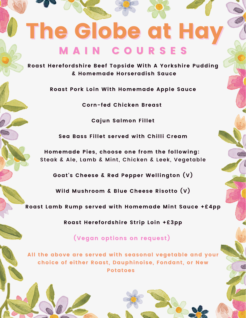## The Globe at Hay M A I N C O U R S E S

**Roast Herefordshire Beef Topside With A Yorkshire Pudding Roast Herefordshire Beef Topside With A Yorkshire Pudding & Homemade Horseradish Sauce**

**Roast Pork Loin With Homemade Apple Sauce**

**Corn-fed Chicken Breast**

**Cajun Salmon Fillet**

**Sea Bass Fillet served with Chilli Cream**

**Homemade Pies, choose one from the following:** Steak & Ale, Lamb & Mint, Chicken & Leek, Vegetable

**Goat's Cheese & Red Pepper Wellington (V)**

**Wild Mushroom & Blue Cheese Risotto (V)**

**Roast Lamb Rump served with Homemade Mint Sauce +£4pp**

**Roast Herefordshire Strip Loin +£3pp**

**(Vegan options on request)**

**All the above are served with seasonal vegetable and your choice of either Roast, Dauphinoise, Fondant, or New Potatoes**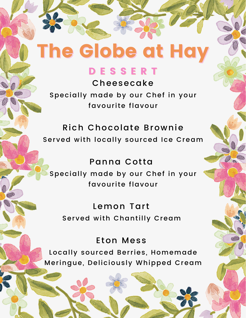## The Globe at Hay

### D E S S E R T

Cheesecake Specially made by our Chef in your favourite flavour

Rich Chocolate Brownie Served with locally sourced Ice Cream

### Panna Cotta Specially made by our Chef in your favourite flavour

Lemon Tart Served with Chantilly Cream

### Eton Mess

Locally sourced Berries, Homemade Meringue, Deliciously Whipped Cream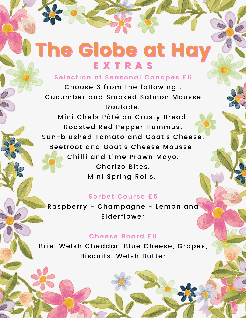## The Globe at Hay **EXTRAS**

#### **Selection of Seasonal Canapés £6**

Choose 3 from the following : Cucumber and Smoked Salmon Mousse Roulade.

Mini Chefs Pâté on Crusty Bread. Roasted Red Pepper Hummus. Sun-blushed Tomato and Goat's Cheese. Beetroot and Goat's Cheese Mousse. Chilli and Lime Prawn Mayo. Chorizo Bites. Mini Spring Rolls.

#### **Sorbet Course £5**

Raspberry - Champagne - Lemon and Elderflower

#### **Cheese Board £8**

Brie, Welsh Cheddar, Blue Cheese, Grapes, Biscuits, Welsh Butter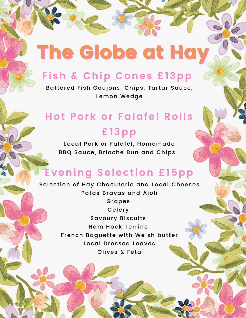## The Globe at Hay

## **Fish & Chip Cones £13pp**

Battered Fish Goujons, Chips, Tartar Sauce, Lemon Wedge

## **Hot Pork or Falafel Rolls £13pp**

Local Pork or Falafel, Homemade BBQ Sauce, Brioche Bun and Chips

### **Evening Selection £15pp**

Selection of Hay Chacuterie and Local Cheeses Patas Bravas and Aioli Grapes Celery Savoury Biscuits Ham Hock Terrine French Baguette with Welsh butter Local Dressed Leaves Olives & Feta